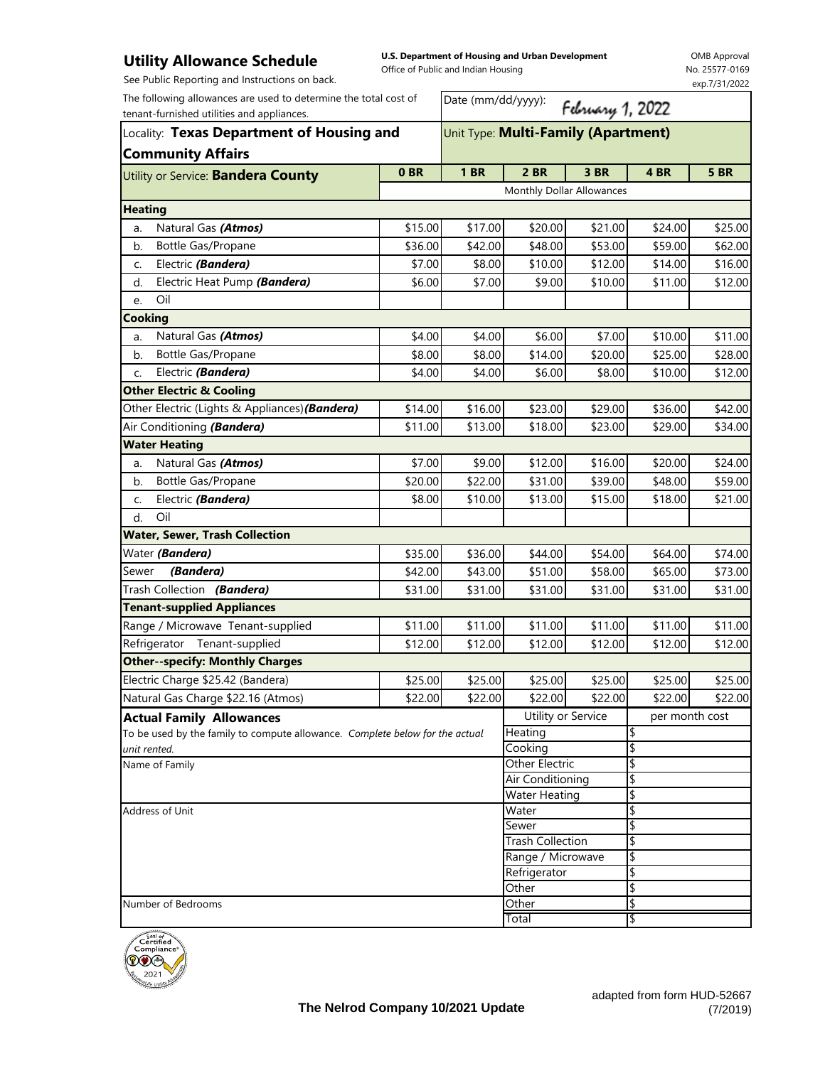## **Utility Allowance Schedule**

**U.S. Department of Housing and Urban Development** 

OMB Approval . . . .<br>577-0169 exp.7/31/2022

| . ,<br>See Public Reporting and Instructions on back.                        |                                     | Office of Public and Indian Housing    |                           |         |                | No. 25577-0169 |  |
|------------------------------------------------------------------------------|-------------------------------------|----------------------------------------|---------------------------|---------|----------------|----------------|--|
| The following allowances are used to determine the total cost of             |                                     |                                        | exp.7/31/2022             |         |                |                |  |
| tenant-furnished utilities and appliances.                                   |                                     | Date (mm/dd/yyyy):<br>February 1, 2022 |                           |         |                |                |  |
| Locality: Texas Department of Housing and                                    | Unit Type: Multi-Family (Apartment) |                                        |                           |         |                |                |  |
| <b>Community Affairs</b>                                                     |                                     |                                        |                           |         |                |                |  |
| Utility or Service: Bandera County                                           | 0 <sub>BR</sub>                     | <b>1 BR</b>                            | <b>2 BR</b>               | 3 BR    | 4 BR           | <b>5 BR</b>    |  |
|                                                                              |                                     |                                        | Monthly Dollar Allowances |         |                |                |  |
| <b>Heating</b>                                                               |                                     |                                        |                           |         |                |                |  |
| Natural Gas (Atmos)<br>a.                                                    | \$15.00                             | \$17.00                                | \$20.00                   | \$21.00 | \$24.00        | \$25.00        |  |
| Bottle Gas/Propane<br>b.                                                     | \$36.00                             | \$42.00                                | \$48.00                   | \$53.00 | \$59.00        | \$62.00        |  |
| Electric (Bandera)<br>c.                                                     | \$7.00                              | \$8.00                                 | \$10.00                   | \$12.00 | \$14.00        | \$16.00        |  |
| Electric Heat Pump (Bandera)<br>d.                                           | \$6.00                              | \$7.00                                 | \$9.00                    | \$10.00 | \$11.00        | \$12.00        |  |
| Oil<br>e.                                                                    |                                     |                                        |                           |         |                |                |  |
| Cooking                                                                      |                                     |                                        |                           |         |                |                |  |
| Natural Gas (Atmos)<br>a.                                                    | \$4.00                              | \$4.00                                 | \$6.00                    | \$7.00  | \$10.00        | \$11.00        |  |
| Bottle Gas/Propane<br>b.                                                     | \$8.00                              | \$8.00                                 | \$14.00                   | \$20.00 | \$25.00        | \$28.00        |  |
| Electric (Bandera)<br>C.                                                     | \$4.00                              | \$4.00                                 | \$6.00                    | \$8.00  | \$10.00        | \$12.00        |  |
| <b>Other Electric &amp; Cooling</b>                                          |                                     |                                        |                           |         |                |                |  |
| Other Electric (Lights & Appliances) (Bandera)                               | \$14.00                             | \$16.00                                | \$23.00                   | \$29.00 | \$36.00        | \$42.00        |  |
| Air Conditioning (Bandera)                                                   | \$11.00                             | \$13.00                                | \$18.00                   | \$23.00 | \$29.00        | \$34.00        |  |
| <b>Water Heating</b>                                                         |                                     |                                        |                           |         |                |                |  |
| Natural Gas (Atmos)<br>a.                                                    | \$7.00                              | \$9.00                                 | \$12.00                   | \$16.00 | \$20.00        | \$24.00        |  |
| Bottle Gas/Propane<br>b.                                                     | \$20.00                             | \$22.00                                | \$31.00                   | \$39.00 | \$48.00        | \$59.00        |  |
| Electric (Bandera)<br>C.                                                     | \$8.00                              | \$10.00                                | \$13.00                   | \$15.00 | \$18.00        | \$21.00        |  |
| Oil<br>d.                                                                    |                                     |                                        |                           |         |                |                |  |
| <b>Water, Sewer, Trash Collection</b>                                        |                                     |                                        |                           |         |                |                |  |
| Water (Bandera)                                                              | \$35.00                             | \$36.00                                | \$44.00                   | \$54.00 | \$64.00        | \$74.00        |  |
| (Bandera)<br>Sewer                                                           | \$42.00                             | \$43.00                                | \$51.00                   | \$58.00 | \$65.00        | \$73.00        |  |
| Trash Collection (Bandera)                                                   | \$31.00                             | \$31.00                                | \$31.00                   | \$31.00 | \$31.00        | \$31.00        |  |
| <b>Tenant-supplied Appliances</b>                                            |                                     |                                        |                           |         |                |                |  |
| Range / Microwave Tenant-supplied                                            | \$11.00                             | \$11.00                                | \$11.00                   | \$11.00 | \$11.00        | \$11.00        |  |
| Refrigerator<br>Tenant-supplied                                              | \$12.00                             | \$12.00                                | \$12.00                   | \$12.00 | \$12.00        | \$12.00        |  |
| <b>Other--specify: Monthly Charges</b>                                       |                                     |                                        |                           |         |                |                |  |
| Electric Charge \$25.42 (Bandera)                                            | \$25.00                             | \$25.00                                | \$25.00                   | \$25.00 | \$25.00        | \$25.00        |  |
| Natural Gas Charge \$22.16 (Atmos)                                           | \$22.00                             | \$22.00                                | \$22.00                   | \$22.00 | \$22.00        | \$22.00        |  |
| <b>Actual Family Allowances</b>                                              |                                     |                                        | Utility or Service        |         | per month cost |                |  |
| To be used by the family to compute allowance. Complete below for the actual | Heating                             |                                        | \$                        |         |                |                |  |
| unit rented.                                                                 |                                     |                                        | Cooking                   |         | \$             |                |  |
| Name of Family                                                               |                                     |                                        | <b>Other Electric</b>     |         | \$             |                |  |
|                                                                              |                                     |                                        | Air Conditioning          |         | \$             |                |  |
|                                                                              |                                     | <b>Water Heating</b>                   |                           | \$      |                |                |  |
| Address of Unit                                                              |                                     |                                        | Water<br>Sewer            |         | \$<br>\$       |                |  |
|                                                                              |                                     |                                        | <b>Trash Collection</b>   |         | \$             |                |  |
|                                                                              |                                     |                                        | Range / Microwave         |         | \$             |                |  |
|                                                                              |                                     | Refrigerator                           |                           | \$      |                |                |  |
|                                                                              |                                     |                                        | Other                     |         | \$             |                |  |
| Number of Bedrooms                                                           |                                     |                                        | Other                     |         | \$             |                |  |
|                                                                              |                                     |                                        | Total                     |         | \$             |                |  |
| $S$ eal of                                                                   |                                     |                                        |                           |         |                |                |  |